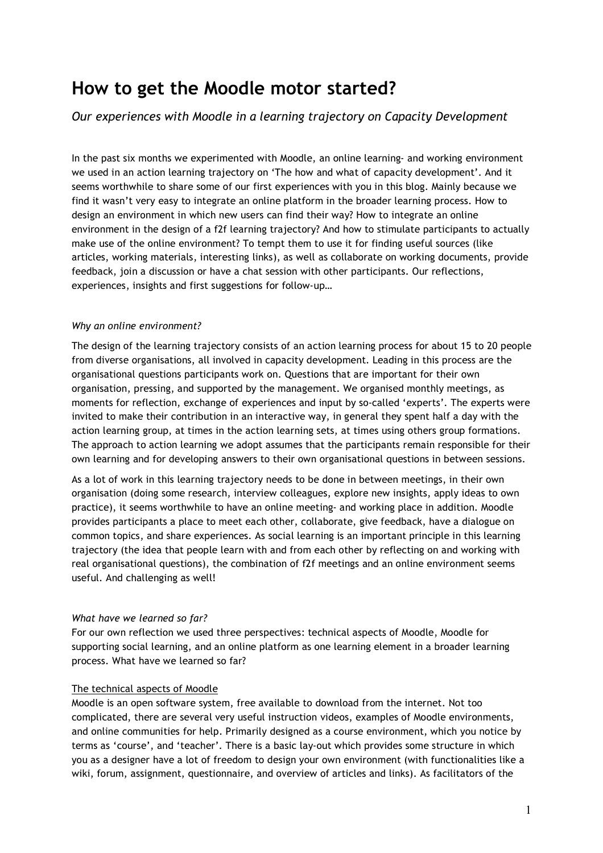# **How to get the Moodle motor started?**

## *Our experiences with Moodle in a learning trajectory on Capacity Development*

In the past six months we experimented with Moodle, an online learning- and working environment we used in an action learning trajectory on 'The how and what of capacity development'. And it seems worthwhile to share some of our first experiences with you in this blog. Mainly because we find it wasn't very easy to integrate an online platform in the broader learning process. How to design an environment in which new users can find their way? How to integrate an online environment in the design of a f2f learning trajectory? And how to stimulate participants to actually make use of the online environment? To tempt them to use it for finding useful sources (like articles, working materials, interesting links), as well as collaborate on working documents, provide feedback, join a discussion or have a chat session with other participants. Our reflections, experiences, insights and first suggestions for follow-up…

## *Why an online environment?*

The design of the learning trajectory consists of an action learning process for about 15 to 20 people from diverse organisations, all involved in capacity development. Leading in this process are the organisational questions participants work on. Questions that are important for their own organisation, pressing, and supported by the management. We organised monthly meetings, as moments for reflection, exchange of experiences and input by so-called 'experts'. The experts were invited to make their contribution in an interactive way, in general they spent half a day with the action learning group, at times in the action learning sets, at times using others group formations. The approach to action learning we adopt assumes that the participants remain responsible for their own learning and for developing answers to their own organisational questions in between sessions.

As a lot of work in this learning trajectory needs to be done in between meetings, in their own organisation (doing some research, interview colleagues, explore new insights, apply ideas to own practice), it seems worthwhile to have an online meeting- and working place in addition. Moodle provides participants a place to meet each other, collaborate, give feedback, have a dialogue on common topics, and share experiences. As social learning is an important principle in this learning trajectory (the idea that people learn with and from each other by reflecting on and working with real organisational questions), the combination of f2f meetings and an online environment seems useful. And challenging as well!

#### *What have we learned so far?*

For our own reflection we used three perspectives: technical aspects of Moodle, Moodle for supporting social learning, and an online platform as one learning element in a broader learning process. What have we learned so far?

## The technical aspects of Moodle

Moodle is an open software system, free available to download from the internet. Not too complicated, there are several very useful instruction videos, examples of Moodle environments, and online communities for help. Primarily designed as a course environment, which you notice by terms as 'course', and 'teacher'. There is a basic lay-out which provides some structure in which you as a designer have a lot of freedom to design your own environment (with functionalities like a wiki, forum, assignment, questionnaire, and overview of articles and links). As facilitators of the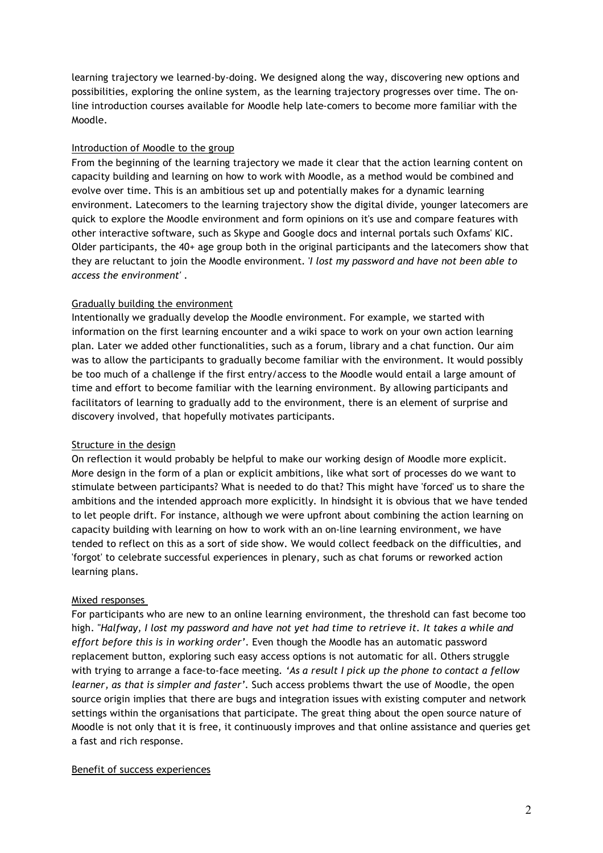learning trajectory we learned-by-doing. We designed along the way, discovering new options and possibilities, exploring the online system, as the learning trajectory progresses over time. The online introduction courses available for Moodle help late-comers to become more familiar with the Moodle.

## Introduction of Moodle to the group

From the beginning of the learning trajectory we made it clear that the action learning content on capacity building and learning on how to work with Moodle, as a method would be combined and evolve over time. This is an ambitious set up and potentially makes for a dynamic learning environment. Latecomers to the learning trajectory show the digital divide, younger latecomers are quick to explore the Moodle environment and form opinions on it's use and compare features with other interactive software, such as Skype and Google docs and internal portals such Oxfams' KIC. Older participants, the 40+ age group both in the original participants and the latecomers show that they are reluctant to join the Moodle environment. '*I lost my password and have not been able to access the environment'* .

## Gradually building the environment

Intentionally we gradually develop the Moodle environment. For example, we started with information on the first learning encounter and a wiki space to work on your own action learning plan. Later we added other functionalities, such as a forum, library and a chat function. Our aim was to allow the participants to gradually become familiar with the environment. It would possibly be too much of a challenge if the first entry/access to the Moodle would entail a large amount of time and effort to become familiar with the learning environment. By allowing participants and facilitators of learning to gradually add to the environment, there is an element of surprise and discovery involved, that hopefully motivates participants.

## Structure in the design

On reflection it would probably be helpful to make our working design of Moodle more explicit. More design in the form of a plan or explicit ambitions, like what sort of processes do we want to stimulate between participants? What is needed to do that? This might have 'forced' us to share the ambitions and the intended approach more explicitly. In hindsight it is obvious that we have tended to let people drift. For instance, although we were upfront about combining the action learning on capacity building with learning on how to work with an on-line learning environment, we have tended to reflect on this as a sort of side show. We would collect feedback on the difficulties, and 'forgot' to celebrate successful experiences in plenary, such as chat forums or reworked action learning plans.

#### Mixed responses

For participants who are new to an online learning environment, the threshold can fast become too high. "*Halfway, I lost my password and have not yet had time to retrieve it. It takes a while and effort before this is in working order'*. Even though the Moodle has an automatic password replacement button, exploring such easy access options is not automatic for all. Others struggle with trying to arrange a face-to-face meeting*. 'As a result I pick up the phone to contact a fellow learner, as that is simpler and faster'.* Such access problems thwart the use of Moodle, the open source origin implies that there are bugs and integration issues with existing computer and network settings within the organisations that participate. The great thing about the open source nature of Moodle is not only that it is free, it continuously improves and that online assistance and queries get a fast and rich response.

#### Benefit of success experiences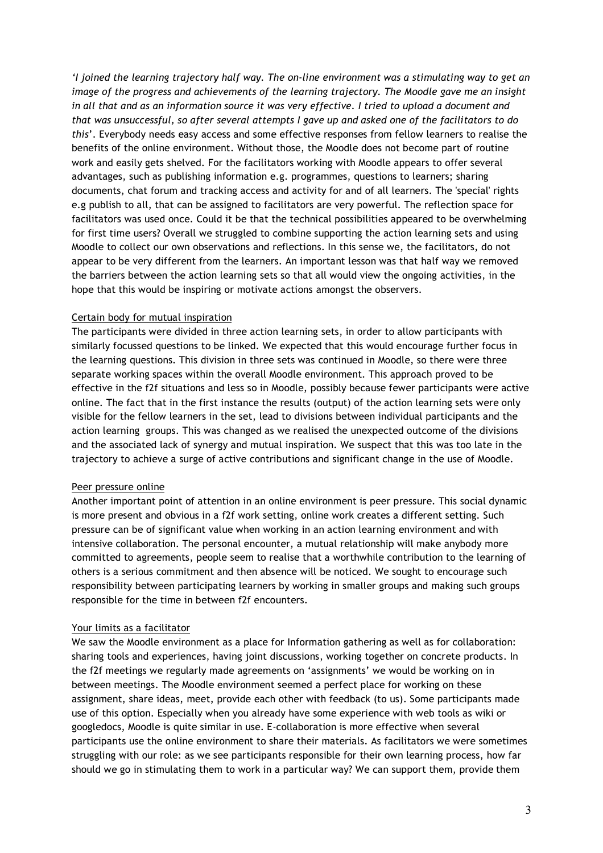*'I joined the learning trajectory half way. The on-line environment was a stimulating way to get an image of the progress and achievements of the learning trajectory. The Moodle gave me an insight*  in all that and as an information source it was very effective. I tried to upload a document and *that was unsuccessful, so after several attempts I gave up and asked one of the facilitators to do this*'. Everybody needs easy access and some effective responses from fellow learners to realise the benefits of the online environment. Without those, the Moodle does not become part of routine work and easily gets shelved. For the facilitators working with Moodle appears to offer several advantages, such as publishing information e.g. programmes, questions to learners; sharing documents, chat forum and tracking access and activity for and of all learners. The 'special' rights e.g publish to all, that can be assigned to facilitators are very powerful. The reflection space for facilitators was used once. Could it be that the technical possibilities appeared to be overwhelming for first time users? Overall we struggled to combine supporting the action learning sets and using Moodle to collect our own observations and reflections. In this sense we, the facilitators, do not appear to be very different from the learners. An important lesson was that half way we removed the barriers between the action learning sets so that all would view the ongoing activities, in the hope that this would be inspiring or motivate actions amongst the observers.

#### Certain body for mutual inspiration

The participants were divided in three action learning sets, in order to allow participants with similarly focussed questions to be linked. We expected that this would encourage further focus in the learning questions. This division in three sets was continued in Moodle, so there were three separate working spaces within the overall Moodle environment. This approach proved to be effective in the f2f situations and less so in Moodle, possibly because fewer participants were active online. The fact that in the first instance the results (output) of the action learning sets were only visible for the fellow learners in the set, lead to divisions between individual participants and the action learning groups. This was changed as we realised the unexpected outcome of the divisions and the associated lack of synergy and mutual inspiration. We suspect that this was too late in the trajectory to achieve a surge of active contributions and significant change in the use of Moodle.

#### Peer pressure online

Another important point of attention in an online environment is peer pressure. This social dynamic is more present and obvious in a f2f work setting, online work creates a different setting. Such pressure can be of significant value when working in an action learning environment and with intensive collaboration. The personal encounter, a mutual relationship will make anybody more committed to agreements, people seem to realise that a worthwhile contribution to the learning of others is a serious commitment and then absence will be noticed. We sought to encourage such responsibility between participating learners by working in smaller groups and making such groups responsible for the time in between f2f encounters.

#### Your limits as a facilitator

We saw the Moodle environment as a place for Information gathering as well as for collaboration: sharing tools and experiences, having joint discussions, working together on concrete products. In the f2f meetings we regularly made agreements on 'assignments' we would be working on in between meetings. The Moodle environment seemed a perfect place for working on these assignment, share ideas, meet, provide each other with feedback (to us). Some participants made use of this option. Especially when you already have some experience with web tools as wiki or googledocs, Moodle is quite similar in use. E-collaboration is more effective when several participants use the online environment to share their materials. As facilitators we were sometimes struggling with our role: as we see participants responsible for their own learning process, how far should we go in stimulating them to work in a particular way? We can support them, provide them